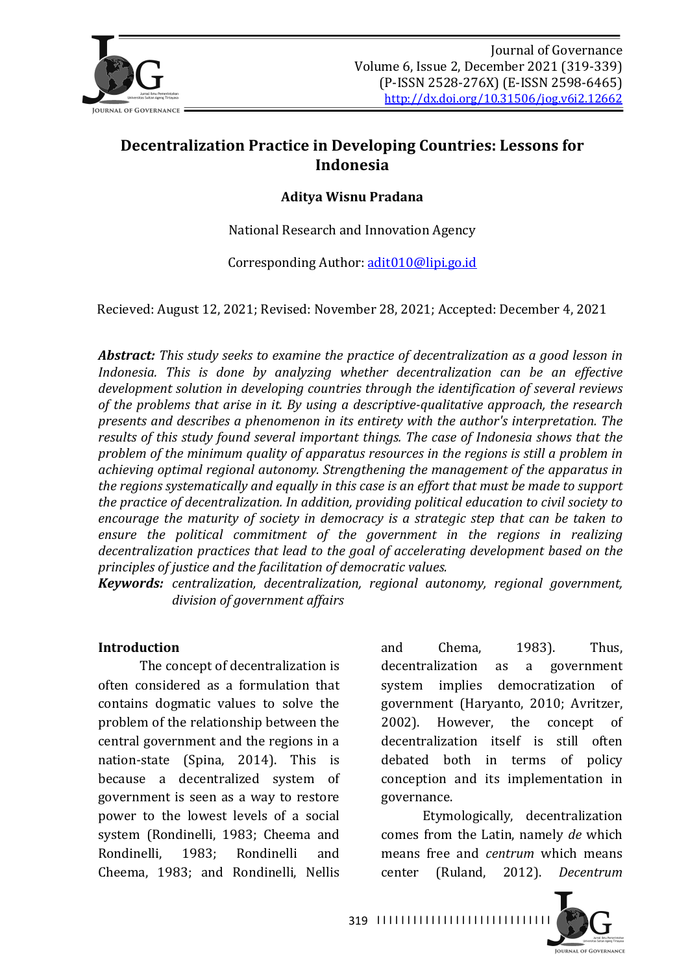

# **Decentralization Practice in Developing Countries: Lessons for Indonesia**

#### **Aditya Wisnu Pradana**

National Research and Innovation Agency

Corresponding Author: adit010@lipi.go.id

Recieved: August 12, 2021; Revised: November 28, 2021; Accepted: December 4, 2021

**Abstract:** This study seeks to examine the practice of decentralization as a good lesson in *Indonesia.* This is done by analyzing whether decentralization can be an effective development solution in developing countries through the *identification of several reviews* of the problems that arise in it. By using a descriptive-qualitative approach, the research *presents and describes a phenomenon in its entirety with the author's interpretation. The* results of this study found several important things. The case of *Indonesia* shows that the problem of the minimum quality of apparatus resources in the regions is still a problem in achieving optimal regional autonomy. Strengthening the management of the apparatus in *the regions systematically and equally in this case is an effort that must be made to support the practice of decentralization. In addition, providing political education to civil society to encourage the maturity of society in democracy is a strategic step that can be taken to* ensure the political commitment of the government in the regions in realizing decentralization practices that lead to the goal of accelerating development based on the *principles of justice and the facilitation of democratic values.* 

*Keywords: centralization, decentralization, regional autonomy, regional government, division of government affairs*

#### **Introduction**

The concept of decentralization is often considered as a formulation that contains dogmatic values to solve the problem of the relationship between the central government and the regions in a nation-state (Spina, 2014). This is because a decentralized system of government is seen as a way to restore power to the lowest levels of a social system (Rondinelli, 1983; Cheema and Rondinelli, 1983; Rondinelli and Cheema, 1983; and Rondinelli, Nellis and Chema, 1983). Thus, decentralization as a government system implies democratization of government (Haryanto, 2010; Avritzer, 2002). However, the concept of decentralization itself is still often debated both in terms of policy conception and its implementation in governance.

Etymologically, decentralization comes from the Latin, namely *de* which means free and *centrum* which means center (Ruland, 2012). *Decentrum*

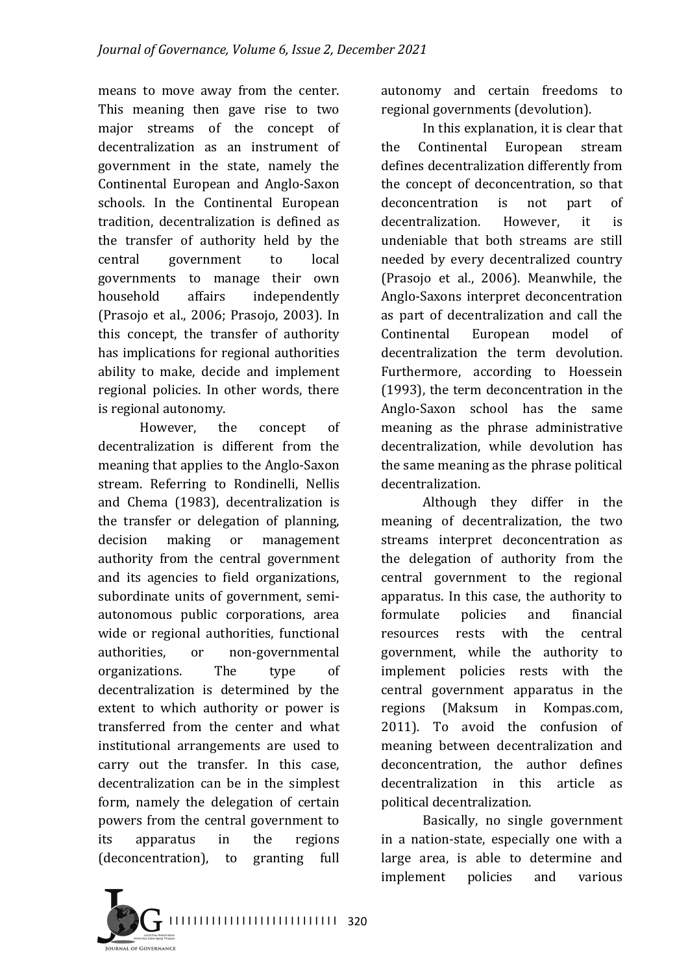means to move away from the center. This meaning then gave rise to two major streams of the concept of decentralization as an instrument of government in the state, namely the Continental European and Anglo-Saxon schools. In the Continental European tradition, decentralization is defined as the transfer of authority held by the central government to local governments to manage their own household affairs independently (Prasojo et al., 2006; Prasojo, 2003). In this concept, the transfer of authority has implications for regional authorities ability to make, decide and implement regional policies. In other words, there is regional autonomy.

However, the concept of decentralization is different from the meaning that applies to the Anglo-Saxon stream. Referring to Rondinelli, Nellis and Chema (1983), decentralization is the transfer or delegation of planning, decision making or management authority from the central government and its agencies to field organizations, subordinate units of government, semiautonomous public corporations, area wide or regional authorities, functional authorities, or non-governmental organizations. The type of decentralization is determined by the extent to which authority or power is transferred from the center and what institutional arrangements are used to carry out the transfer. In this case, decentralization can be in the simplest form, namely the delegation of certain powers from the central government to its apparatus in the regions (deconcentration), to granting full

autonomy and certain freedoms to regional governments (devolution).

In this explanation, it is clear that the Continental European stream defines decentralization differently from the concept of deconcentration, so that deconcentration is not part of decentralization. However, it is undeniable that both streams are still needed by every decentralized country (Prasojo et al., 2006). Meanwhile, the Anglo-Saxons interpret deconcentration as part of decentralization and call the Continental European model of decentralization the term devolution. Furthermore, according to Hoessein  $(1993)$ , the term deconcentration in the Anglo-Saxon school has the same meaning as the phrase administrative decentralization, while devolution has the same meaning as the phrase political decentralization.

Although they differ in the meaning of decentralization, the two streams interpret deconcentration as the delegation of authority from the central government to the regional apparatus. In this case, the authority to formulate policies and financial resources rests with the central government, while the authority to implement policies rests with the central government apparatus in the regions (Maksum in Kompas.com, 2011). To avoid the confusion of meaning between decentralization and deconcentration, the author defines decentralization in this article as political decentralization.

Basically, no single government in a nation-state, especially one with a large area, is able to determine and implement policies and various

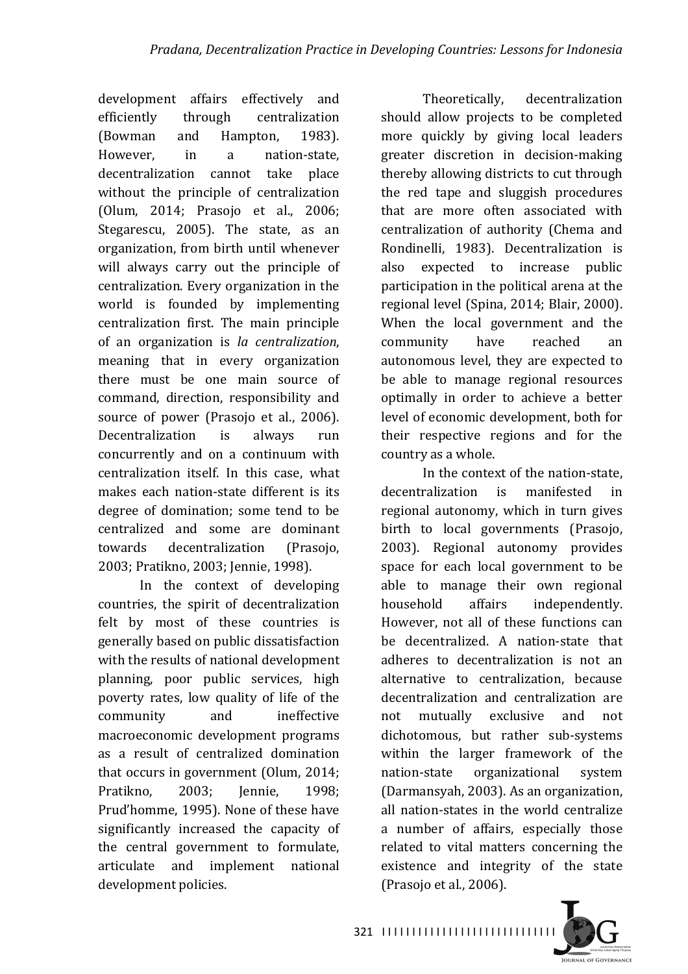development affairs effectively and efficiently through centralization (Bowman and Hampton, 1983). However, in a nation-state, decentralization cannot take place without the principle of centralization (Olum, 2014; Prasojo et al., 2006; Stegarescu, 2005). The state, as an organization, from birth until whenever will always carry out the principle of centralization. Every organization in the world is founded by implementing centralization first. The main principle of an organization is *la centralization*, meaning that in every organization there must be one main source of command, direction, responsibility and source of power (Prasojo et al., 2006). Decentralization is always run concurrently and on a continuum with centralization itself. In this case, what makes each nation-state different is its degree of domination: some tend to be centralized and some are dominant towards decentralization (Prasojo, 2003: Pratikno, 2003; Jennie, 1998).

In the context of developing countries, the spirit of decentralization felt by most of these countries is generally based on public dissatisfaction with the results of national development planning, poor public services, high poverty rates, low quality of life of the community and ineffective macroeconomic development programs as a result of centralized domination that occurs in government  $(Olum, 2014;$ Pratikno, 2003; Jennie, 1998; Prud'homme, 1995). None of these have significantly increased the capacity of the central government to formulate, articulate and implement national development policies.

Theoretically, decentralization should allow projects to be completed more quickly by giving local leaders greater discretion in decision-making thereby allowing districts to cut through the red tape and sluggish procedures that are more often associated with centralization of authority (Chema and Rondinelli, 1983). Decentralization is also expected to increase public participation in the political arena at the regional level (Spina, 2014; Blair, 2000). When the local government and the community have reached an autonomous level, they are expected to be able to manage regional resources optimally in order to achieve a better level of economic development, both for their respective regions and for the country as a whole.

In the context of the nation-state, decentralization is manifested in regional autonomy, which in turn gives birth to local governments (Prasojo, 2003). Regional autonomy provides space for each local government to be able to manage their own regional household affairs independently. However, not all of these functions can be decentralized. A nation-state that adheres to decentralization is not an alternative to centralization, because decentralization and centralization are not mutually exclusive and not dichotomous, but rather sub-systems within the larger framework of the nation-state organizational system (Darmansyah, 2003). As an organization, all nation-states in the world centralize a number of affairs, especially those related to vital matters concerning the existence and integrity of the state  $(Prasojo et al., 2006).$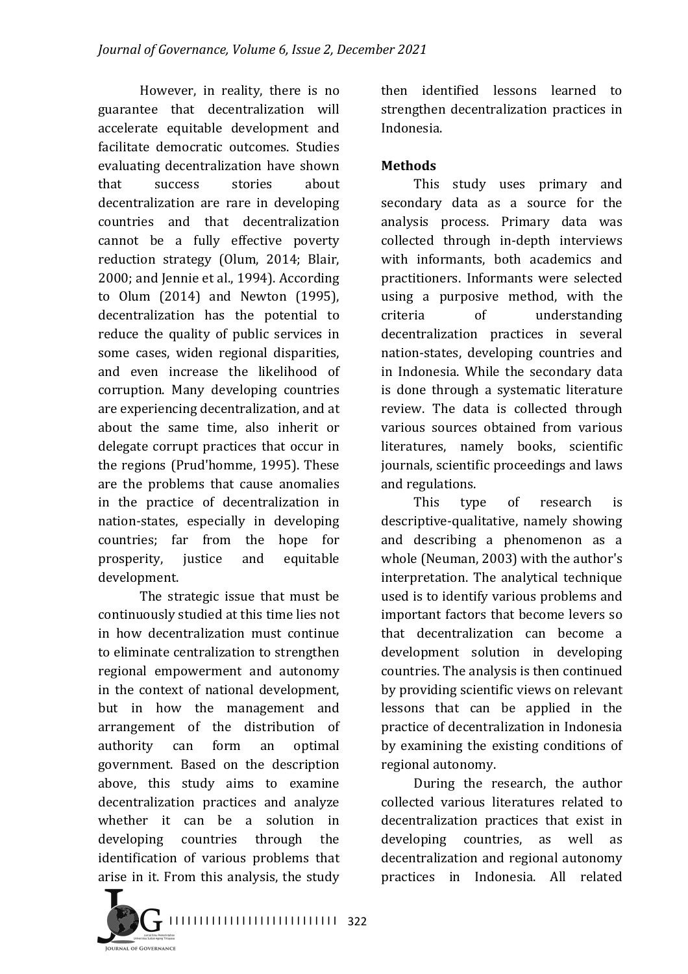However, in reality, there is no guarantee that decentralization will accelerate equitable development and facilitate democratic outcomes. Studies evaluating decentralization have shown that success stories about decentralization are rare in developing countries and that decentralization cannot be a fully effective poverty reduction strategy (Olum, 2014; Blair, 2000; and Jennie et al., 1994). According to Olum  $(2014)$  and Newton  $(1995)$ , decentralization has the potential to reduce the quality of public services in some cases, widen regional disparities, and even increase the likelihood of corruption. Many developing countries are experiencing decentralization, and at about the same time, also inherit or delegate corrupt practices that occur in the regions (Prud'homme, 1995). These are the problems that cause anomalies in the practice of decentralization in nation-states, especially in developing countries; far from the hope for prosperity, justice and equitable development.

The strategic issue that must be continuously studied at this time lies not in how decentralization must continue to eliminate centralization to strengthen regional empowerment and autonomy in the context of national development, but in how the management and arrangement of the distribution of authority can form an optimal government. Based on the description above, this study aims to examine decentralization practices and analyze whether it can be a solution in developing countries through the identification of various problems that arise in it. From this analysis, the study then identified lessons learned to strengthen decentralization practices in Indonesia.

### **Methods**

This study uses primary and secondary data as a source for the analysis process. Primary data was collected through in-depth interviews with informants, both academics and practitioners. Informants were selected using a purposive method, with the criteria of understanding decentralization practices in several nation-states, developing countries and in Indonesia. While the secondary data is done through a systematic literature review. The data is collected through various sources obtained from various literatures, namely books, scientific journals, scientific proceedings and laws and regulations.

This type of research is descriptive-qualitative, namely showing and describing a phenomenon as a whole (Neuman, 2003) with the author's interpretation. The analytical technique used is to identify various problems and important factors that become levers so that decentralization can become a development solution in developing countries. The analysis is then continued by providing scientific views on relevant lessons that can be applied in the practice of decentralization in Indonesia by examining the existing conditions of regional autonomy.

During the research, the author collected various literatures related to decentralization practices that exist in developing countries, as well as decentralization and regional autonomy practices in Indonesia. All related



I I I I I I I I I I I I I I I I I I I I I I I I I I I I 322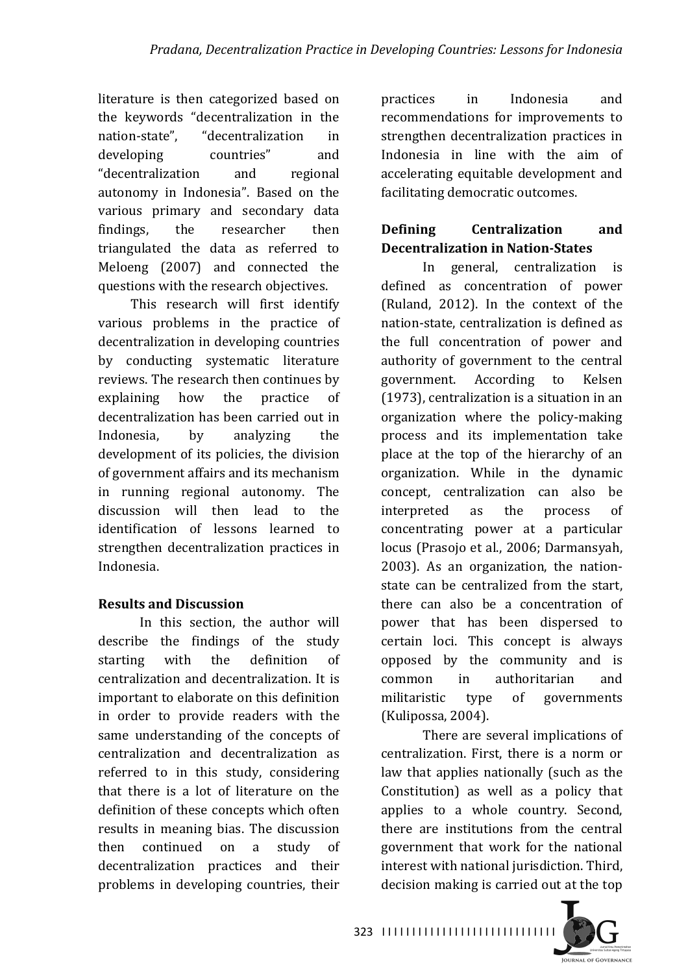literature is then categorized based on the keywords "decentralization in the nation-state", "decentralization in developing countries" and "decentralization and regional autonomy in Indonesia". Based on the various primary and secondary data findings, the researcher then triangulated the data as referred to Meloeng (2007) and connected the questions with the research objectives.

This research will first identify various problems in the practice of decentralization in developing countries by conducting systematic literature reviews. The research then continues by explaining how the practice of decentralization has been carried out in Indonesia, by analyzing the development of its policies, the division of government affairs and its mechanism in running regional autonomy. The discussion will then lead to the identification of lessons learned to strengthen decentralization practices in Indonesia.

#### **Results and Discussion**

In this section, the author will describe the findings of the study starting with the definition of centralization and decentralization. It is important to elaborate on this definition in order to provide readers with the same understanding of the concepts of centralization and decentralization as referred to in this study, considering that there is a lot of literature on the definition of these concepts which often results in meaning bias. The discussion then continued on a study of decentralization practices and their problems in developing countries, their practices in Indonesia and recommendations for improvements to strengthen decentralization practices in Indonesia in line with the aim of accelerating equitable development and facilitating democratic outcomes.

## **Defining Centralization** and **Decentralization in Nation-States**

In general, centralization is defined as concentration of power (Ruland,  $2012$ ). In the context of the nation-state, centralization is defined as the full concentration of power and authority of government to the central government. According to Kelsen  $(1973)$ , centralization is a situation in an organization where the policy-making process and its implementation take place at the top of the hierarchy of an organization. While in the dynamic concept, centralization can also be interpreted as the process of concentrating power at a particular locus (Prasojo et al., 2006; Darmansyah, 2003). As an organization, the nationstate can be centralized from the start. there can also be a concentration of power that has been dispersed to certain loci. This concept is always opposed by the community and is common in authoritarian and militaristic type of governments (Kulipossa, 2004).

There are several implications of centralization. First, there is a norm or law that applies nationally (such as the Constitution) as well as a policy that applies to a whole country. Second, there are institutions from the central government that work for the national interest with national jurisdiction. Third, decision making is carried out at the top

I I I I I I I I I I I I I I I I I I I I I I I I I I I I I 323

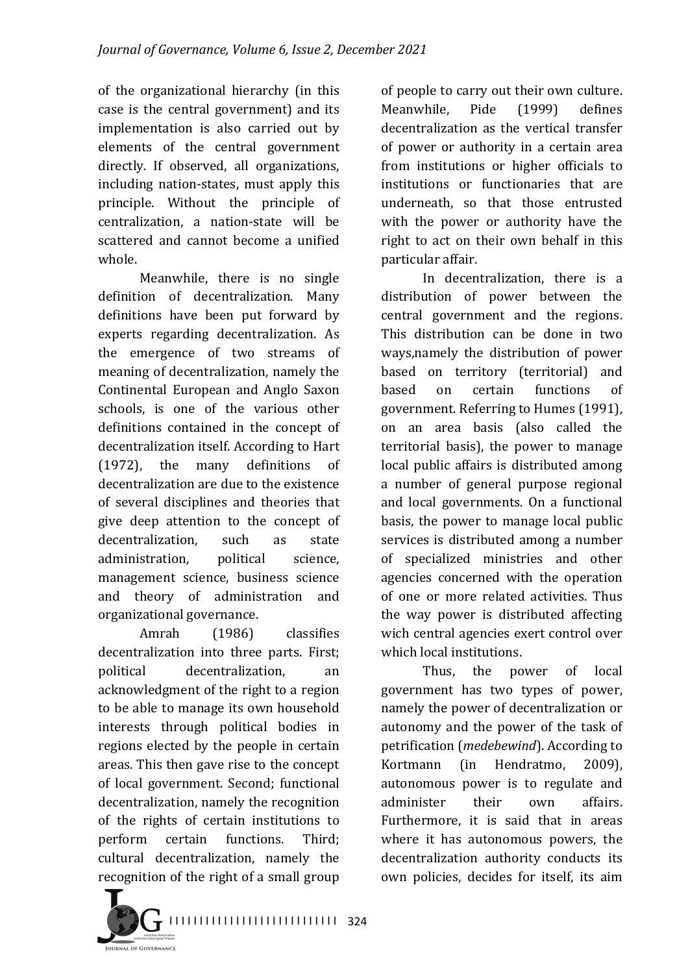of the organizational hierarchy (in this case is the central government) and its implementation is also carried out by elements of the central government directly. If observed, all organizations, including nation-states, must apply this principle. Without the principle of centralization, a nation-state will be scattered and cannot become a unified whole.

Meanwhile, there is no single definition of decentralization. Many definitions have been put forward by experts regarding decentralization. As the emergence of two streams of meaning of decentralization, namely the Continental European and Anglo Saxon schools, is one of the various other definitions contained in the concept of decentralization itself. According to Hart (1972), the many definitions of decentralization are due to the existence of several disciplines and theories that give deep attention to the concept of decentralization, such as state administration, political science, management science, business science and theory of administration and organizational governance.

Amrah (1986) classifies decentralization into three parts. First: political decentralization, an acknowledgment of the right to a region to be able to manage its own household interests through political bodies in regions elected by the people in certain areas. This then gave rise to the concept of local government. Second: functional decentralization, namely the recognition of the rights of certain institutions to perform certain functions. Third; cultural decentralization, namely the recognition of the right of a small group of people to carry out their own culture. Meanwhile, Pide (1999) defines decentralization as the vertical transfer of power or authority in a certain area from institutions or higher officials to institutions or functionaries that are underneath, so that those entrusted with the power or authority have the right to act on their own behalf in this particular affair.

In decentralization, there is a distribution of power between the central government and the regions. This distribution can be done in two ways, namely the distribution of power based on territory (territorial) and based on certain functions of government. Referring to Humes (1991), on an area basis (also called the territorial basis), the power to manage local public affairs is distributed among a number of general purpose regional and local governments. On a functional basis, the power to manage local public services is distributed among a number of specialized ministries and other agencies concerned with the operation of one or more related activities. Thus the way power is distributed affecting wich central agencies exert control over which local institutions.

Thus, the power of local government has two types of power, namely the power of decentralization or autonomy and the power of the task of petrification (*medebewind*). According to Kortmann (in Hendratmo, 2009), autonomous power is to regulate and administer their own affairs. Furthermore, it is said that in areas where it has autonomous powers, the decentralization authority conducts its own policies, decides for itself, its aim



I I I I I I I I I I I I I I I I I I I I I I I I I I I I 324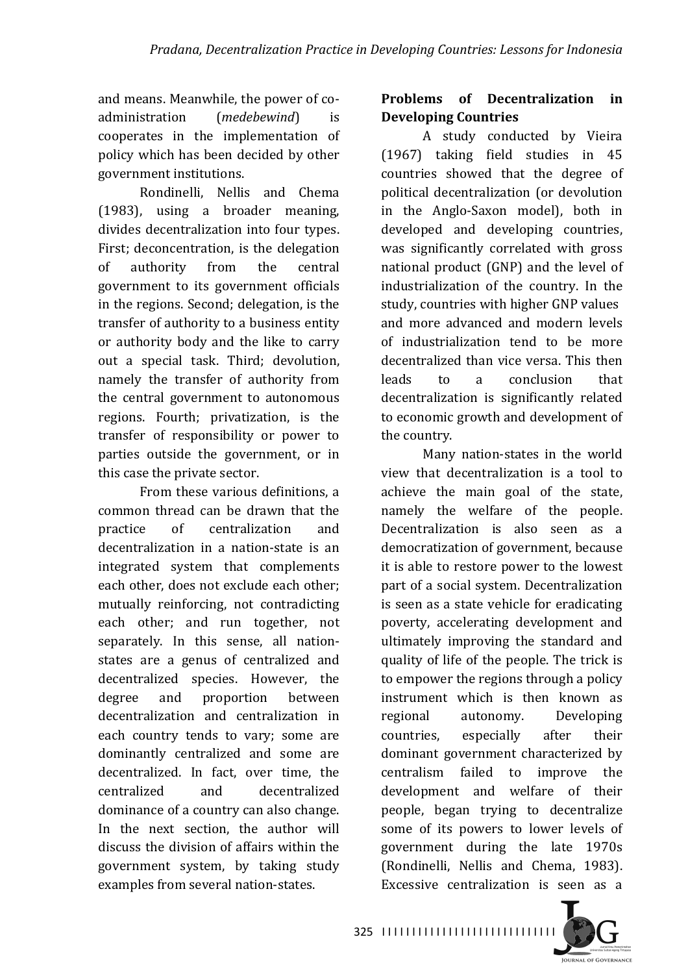and means. Meanwhile, the power of coadministration (*medebewind*) is cooperates in the implementation of policy which has been decided by other government institutions.

Rondinelli, Nellis and Chema  $(1983)$ , using a broader meaning, divides decentralization into four types. First: deconcentration, is the delegation of authority from the central government to its government officials in the regions. Second; delegation, is the transfer of authority to a business entity or authority body and the like to carry out a special task. Third; devolution, namely the transfer of authority from the central government to autonomous regions. Fourth; privatization, is the transfer of responsibility or power to parties outside the government, or in this case the private sector.

From these various definitions, a common thread can be drawn that the practice of centralization and decentralization in a nation-state is an integrated system that complements each other, does not exclude each other; mutually reinforcing, not contradicting each other; and run together, not separately. In this sense, all nationstates are a genus of centralized and decentralized species. However, the degree and proportion between decentralization and centralization in each country tends to vary; some are dominantly centralized and some are decentralized. In fact, over time, the centralized and decentralized dominance of a country can also change. In the next section, the author will discuss the division of affairs within the government system, by taking study examples from several nation-states.

## **Problems** of Decentralization in **Developing Countries**

A study conducted by Vieira (1967) taking field studies in 45 countries showed that the degree of political decentralization (or devolution in the Anglo-Saxon model), both in developed and developing countries, was significantly correlated with gross national product (GNP) and the level of industrialization of the country. In the study, countries with higher GNP values and more advanced and modern levels of industrialization tend to be more decentralized than vice versa. This then leads to a conclusion that decentralization is significantly related to economic growth and development of the country.

Many nation-states in the world view that decentralization is a tool to achieve the main goal of the state, namely the welfare of the people. Decentralization is also seen as a democratization of government, because it is able to restore power to the lowest part of a social system. Decentralization is seen as a state vehicle for eradicating poverty, accelerating development and ultimately improving the standard and quality of life of the people. The trick is to empower the regions through a policy instrument which is then known as regional autonomy. Developing countries, especially after their dominant government characterized by centralism failed to improve the development and welfare of their people, began trying to decentralize some of its powers to lower levels of government during the late 1970s (Rondinelli, Nellis and Chema, 1983). Excessive centralization is seen as a

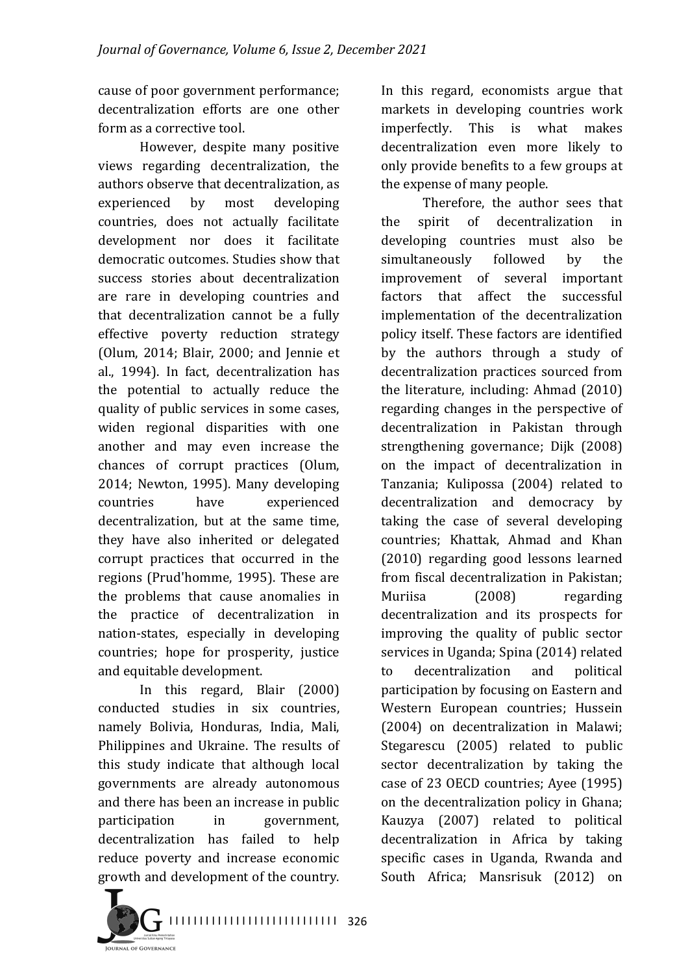cause of poor government performance; decentralization efforts are one other form as a corrective tool.

However, despite many positive views regarding decentralization, the authors observe that decentralization, as experienced by most developing countries, does not actually facilitate development nor does it facilitate democratic outcomes. Studies show that success stories about decentralization are rare in developing countries and that decentralization cannot be a fully effective poverty reduction strategy (Olum, 2014; Blair, 2000; and Jennie et al., 1994). In fact, decentralization has the potential to actually reduce the quality of public services in some cases, widen regional disparities with one another and may even increase the chances of corrupt practices (Olum, 2014; Newton, 1995). Many developing countries have experienced decentralization, but at the same time, they have also inherited or delegated corrupt practices that occurred in the regions (Prud'homme, 1995). These are the problems that cause anomalies in the practice of decentralization in nation-states, especially in developing countries: hope for prosperity, justice and equitable development.

In this regard, Blair (2000) conducted studies in six countries, namely Bolivia, Honduras, India, Mali, Philippines and Ukraine. The results of this study indicate that although local governments are already autonomous and there has been an increase in public participation in government, decentralization has failed to help reduce poverty and increase economic growth and development of the country. In this regard, economists argue that markets in developing countries work imperfectly. This is what makes decentralization even more likely to only provide benefits to a few groups at the expense of many people.

Therefore, the author sees that the spirit of decentralization in developing countries must also be simultaneously followed by the improvement of several important factors that affect the successful implementation of the decentralization policy itself. These factors are identified by the authors through a study of decentralization practices sourced from the literature, including: Ahmad  $(2010)$ regarding changes in the perspective of decentralization in Pakistan through strengthening governance; Dijk (2008) on the impact of decentralization in Tanzania; Kulipossa (2004) related to decentralization and democracy by taking the case of several developing countries; Khattak, Ahmad and Khan (2010) regarding good lessons learned from fiscal decentralization in Pakistan: Muriisa (2008) regarding decentralization and its prospects for improving the quality of public sector services in Uganda; Spina (2014) related to decentralization and political participation by focusing on Eastern and Western European countries; Hussein (2004) on decentralization in Malawi; Stegarescu (2005) related to public sector decentralization by taking the case of 23 OECD countries; Ayee (1995) on the decentralization policy in Ghana; Kauzya (2007) related to political decentralization in Africa by taking specific cases in Uganda, Rwanda and South Africa: Mansrisuk (2012) on

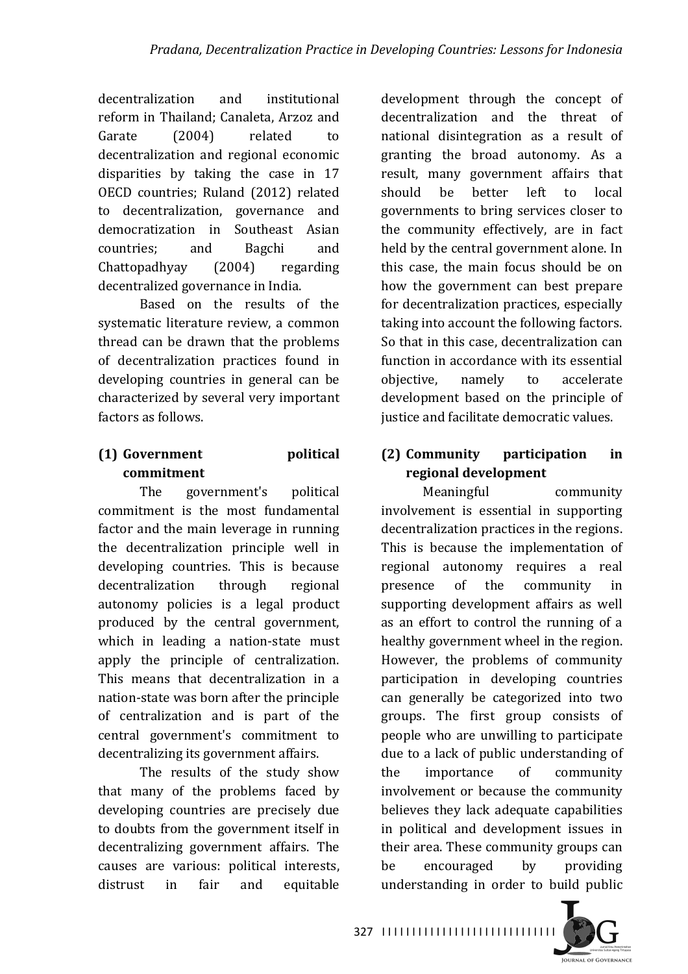decentralization and institutional reform in Thailand; Canaleta, Arzoz and Garate (2004) related to decentralization and regional economic disparities by taking the case in 17 OECD countries; Ruland (2012) related to decentralization, governance and democratization in Southeast Asian countries; and Bagchi and Chattopadhyay (2004) regarding decentralized governance in India.

Based on the results of the systematic literature review, a common thread can be drawn that the problems of decentralization practices found in developing countries in general can be characterized by several very important factors as follows.

# **(1) Government political commitment**

The government's political commitment is the most fundamental factor and the main leverage in running the decentralization principle well in developing countries. This is because decentralization through regional autonomy policies is a legal product produced by the central government, which in leading a nation-state must apply the principle of centralization. This means that decentralization in a nation-state was born after the principle of centralization and is part of the central government's commitment to decentralizing its government affairs.

The results of the study show that many of the problems faced by developing countries are precisely due to doubts from the government itself in decentralizing government affairs. The causes are various: political interests, distrust in fair and equitable development through the concept of decentralization and the threat of national disintegration as a result of granting the broad autonomy. As a result, many government affairs that should be better left to local governments to bring services closer to the community effectively, are in fact held by the central government alone. In this case, the main focus should be on how the government can best prepare for decentralization practices, especially taking into account the following factors. So that in this case, decentralization can function in accordance with its essential objective, namely to accelerate development based on the principle of justice and facilitate democratic values.

# **(2) Community participation in regional development**

Meaningful community involvement is essential in supporting decentralization practices in the regions. This is because the implementation of regional autonomy requires a real presence of the community in supporting development affairs as well as an effort to control the running of a healthy government wheel in the region. However, the problems of community participation in developing countries can generally be categorized into two groups. The first group consists of people who are unwilling to participate due to a lack of public understanding of the importance of community involvement or because the community believes they lack adequate capabilities in political and development issues in their area. These community groups can be encouraged by providing understanding in order to build public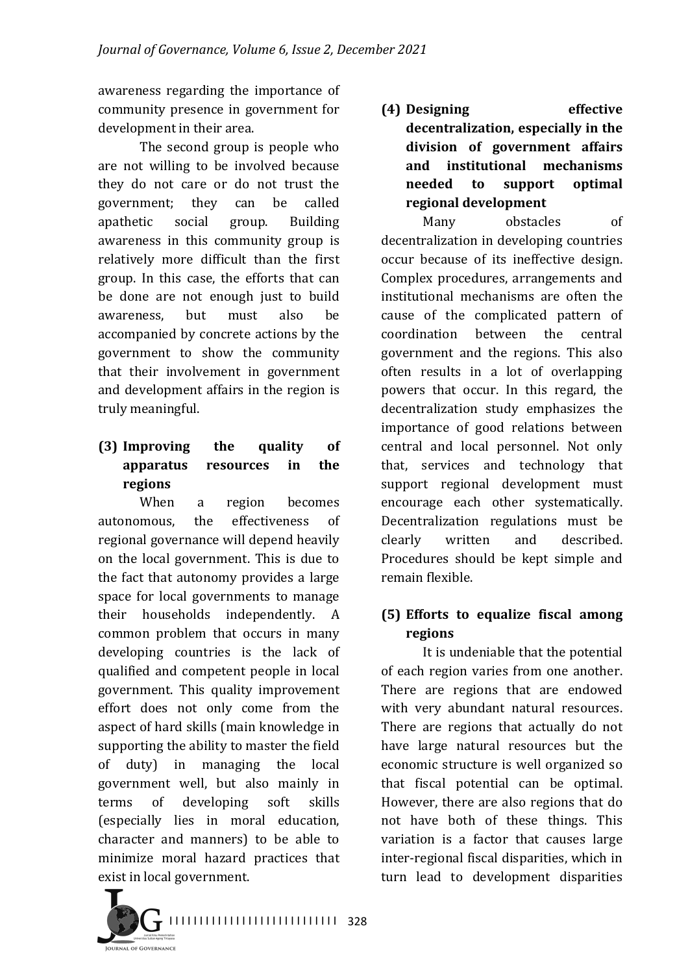awareness regarding the importance of community presence in government for development in their area.

The second group is people who are not willing to be involved because they do not care or do not trust the government; they can be called apathetic social group. Building awareness in this community group is relatively more difficult than the first group. In this case, the efforts that can be done are not enough just to build awareness, but must also be accompanied by concrete actions by the government to show the community that their involvement in government and development affairs in the region is truly meaningful.

# **(3) Improving the quality of apparatus resources in the regions**

When a region becomes autonomous, the effectiveness of regional governance will depend heavily on the local government. This is due to the fact that autonomy provides a large space for local governments to manage their households independently. A common problem that occurs in many developing countries is the lack of qualified and competent people in local government. This quality improvement effort does not only come from the aspect of hard skills (main knowledge in supporting the ability to master the field of duty) in managing the local government well, but also mainly in terms of developing soft skills (especially lies in moral education, character and manners) to be able to minimize moral hazard practices that exist in local government.

**(4) Designing effective**  decentralization, especially in the **division of government affairs and institutional mechanisms needed to support optimal regional development**

Many obstacles of decentralization in developing countries occur because of its ineffective design. Complex procedures, arrangements and institutional mechanisms are often the cause of the complicated pattern of coordination between the central government and the regions. This also often results in a lot of overlapping powers that occur. In this regard, the decentralization study emphasizes the importance of good relations between central and local personnel. Not only that, services and technology that support regional development must encourage each other systematically. Decentralization regulations must be clearly written and described. Procedures should be kept simple and remain flexible.

## **(5) Efforts to equalize fiscal among regions**

It is undeniable that the potential of each region varies from one another. There are regions that are endowed with very abundant natural resources. There are regions that actually do not have large natural resources but the economic structure is well organized so that fiscal potential can be optimal. However, there are also regions that do not have both of these things. This variation is a factor that causes large inter-regional fiscal disparities, which in turn lead to development disparities

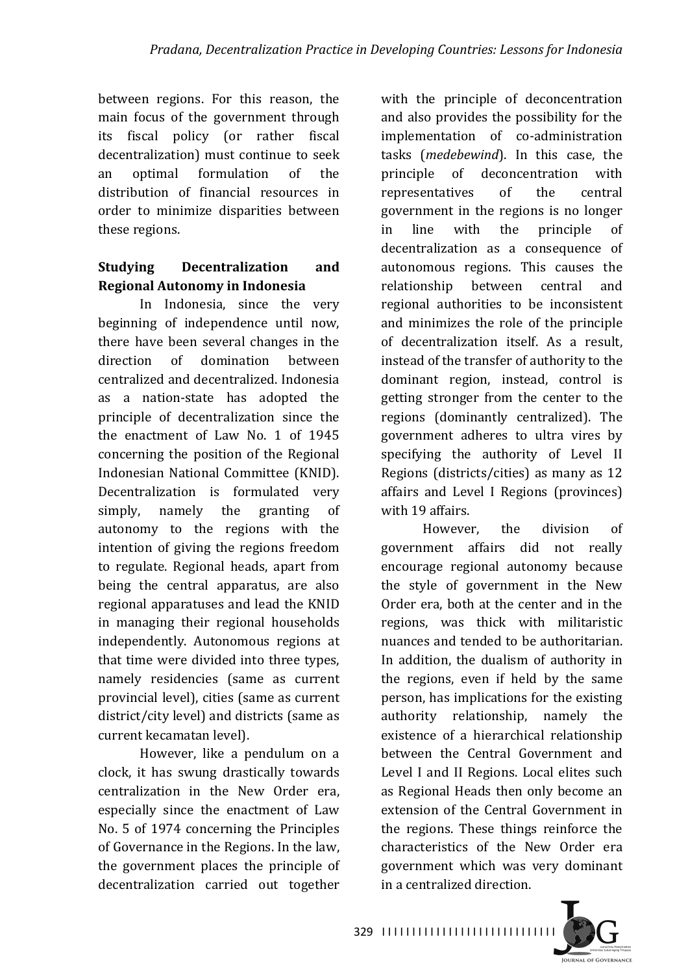between regions. For this reason, the main focus of the government through its fiscal policy (or rather fiscal decentralization) must continue to seek an optimal formulation of the distribution of financial resources in order to minimize disparities between these regions.

## **Studying Decentralization** and **Regional Autonomy in Indonesia**

In Indonesia, since the very beginning of independence until now, there have been several changes in the direction of domination between centralized and decentralized. Indonesia as a nation-state has adopted the principle of decentralization since the the enactment of Law No. 1 of 1945 concerning the position of the Regional Indonesian National Committee (KNID). Decentralization is formulated very simply, namely the granting of autonomy to the regions with the intention of giving the regions freedom to regulate. Regional heads, apart from being the central apparatus, are also regional apparatuses and lead the KNID in managing their regional households independently. Autonomous regions at that time were divided into three types, namely residencies (same as current provincial level), cities (same as current district/city level) and districts (same as current kecamatan level).

However, like a pendulum on a clock, it has swung drastically towards centralization in the New Order era, especially since the enactment of Law No. 5 of 1974 concerning the Principles of Governance in the Regions. In the law, the government places the principle of decentralization carried out together with the principle of deconcentration and also provides the possibility for the implementation of co-administration tasks (*medebewind*). In this case, the principle of deconcentration with representatives of the central government in the regions is no longer in line with the principle of decentralization as a consequence of autonomous regions. This causes the relationship between central and regional authorities to be inconsistent and minimizes the role of the principle of decentralization itself. As a result, instead of the transfer of authority to the dominant region, instead, control is getting stronger from the center to the regions (dominantly centralized). The government adheres to ultra vires by specifying the authority of Level II Regions (districts/cities) as many as 12 affairs and Level I Regions (provinces) with 19 affairs.

However, the division of government affairs did not really encourage regional autonomy because the style of government in the New Order era, both at the center and in the regions, was thick with militaristic nuances and tended to be authoritarian. In addition, the dualism of authority in the regions, even if held by the same person, has implications for the existing authority relationship, namely the existence of a hierarchical relationship between the Central Government and Level I and II Regions. Local elites such as Regional Heads then only become an extension of the Central Government in the regions. These things reinforce the characteristics of the New Order era government which was very dominant in a centralized direction.

329 ||||||||||||||||||||||||||||||

**IOURNAL OF GOVERNANCE**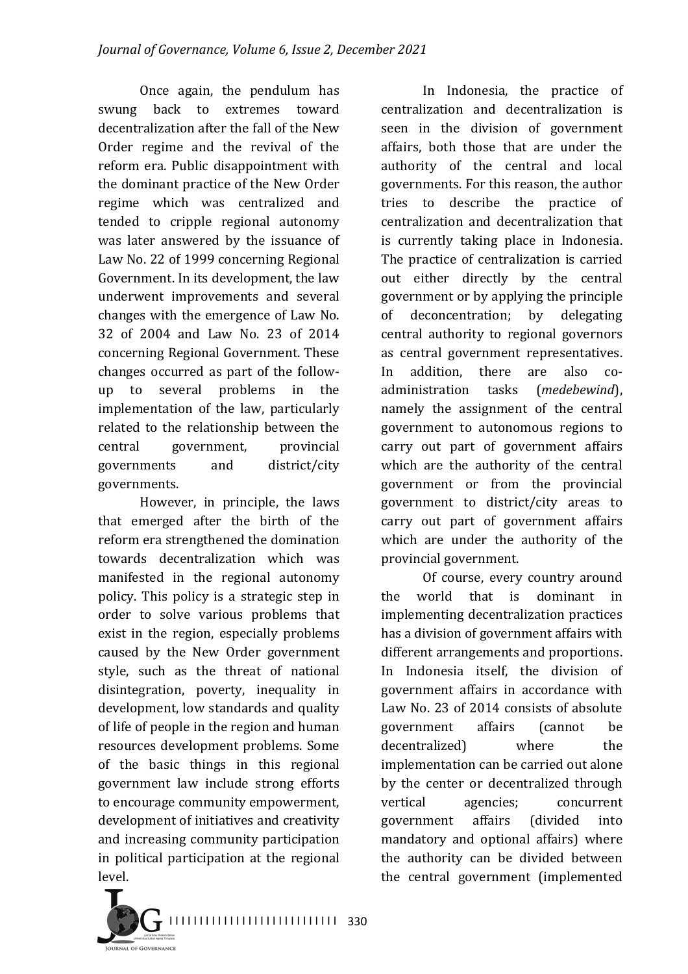Once again, the pendulum has swung back to extremes toward decentralization after the fall of the New Order regime and the revival of the reform era. Public disappointment with the dominant practice of the New Order regime which was centralized and tended to cripple regional autonomy was later answered by the issuance of Law No. 22 of 1999 concerning Regional Government. In its development, the law underwent improvements and several changes with the emergence of Law No. 32 of 2004 and Law No. 23 of 2014 concerning Regional Government. These changes occurred as part of the followup to several problems in the implementation of the law, particularly related to the relationship between the central government, provincial governments and district/city governments.

However, in principle, the laws that emerged after the birth of the reform era strengthened the domination towards decentralization which was manifested in the regional autonomy policy. This policy is a strategic step in order to solve various problems that exist in the region, especially problems caused by the New Order government style, such as the threat of national disintegration, poverty, inequality in development, low standards and quality of life of people in the region and human resources development problems. Some of the basic things in this regional government law include strong efforts to encourage community empowerment, development of initiatives and creativity and increasing community participation in political participation at the regional level.

In Indonesia, the practice of centralization and decentralization is seen in the division of government affairs, both those that are under the authority of the central and local governments. For this reason, the author tries to describe the practice of centralization and decentralization that is currently taking place in Indonesia. The practice of centralization is carried out either directly by the central government or by applying the principle of deconcentration; by delegating central authority to regional governors as central government representatives. In addition, there are also coadministration tasks (*medebewind*), namely the assignment of the central government to autonomous regions to carry out part of government affairs which are the authority of the central government or from the provincial government to district/city areas to carry out part of government affairs which are under the authority of the provincial government.

Of course, every country around the world that is dominant in implementing decentralization practices has a division of government affairs with different arrangements and proportions. In Indonesia itself, the division of government affairs in accordance with Law No. 23 of 2014 consists of absolute government affairs (cannot be decentralized) where the implementation can be carried out alone by the center or decentralized through vertical agencies; concurrent government affairs (divided into mandatory and optional affairs) where the authority can be divided between the central government (implemented



I I I I I I I I I I I I I I I I I I I I I I I I I I I I 330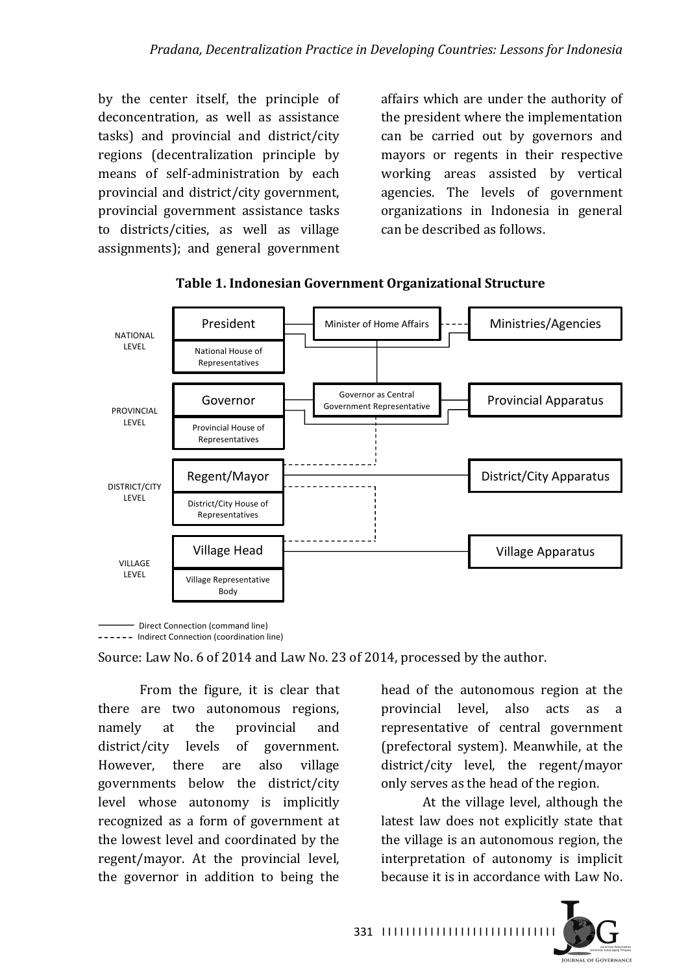by the center itself, the principle of deconcentration, as well as assistance tasks) and provincial and district/city regions (decentralization principle by means of self-administration by each provincial and district/city government, provincial government assistance tasks to districts/cities, as well as village assignments); and general government

affairs which are under the authority of the president where the implementation can be carried out by governors and mayors or regents in their respective working areas assisted by vertical agencies. The levels of government organizations in Indonesia in general can be described as follows.



**Table 1. Indonesian Government Organizational Structure**

- Direct Connection (command line) ------ Indirect Connection (coordination line)

Source: Law No. 6 of 2014 and Law No. 23 of 2014, processed by the author.

From the figure, it is clear that there are two autonomous regions, namely at the provincial and district/city levels of government. However, there are also village governments below the district/city level whose autonomy is implicitly recognized as a form of government at the lowest level and coordinated by the regent/mayor. At the provincial level, the governor in addition to being the head of the autonomous region at the provincial level, also acts as a representative of central government (prefectoral system). Meanwhile, at the district/city level, the regent/mayor only serves as the head of the region.

At the village level, although the latest law does not explicitly state that the village is an autonomous region, the interpretation of autonomy is implicit because it is in accordance with Law No.

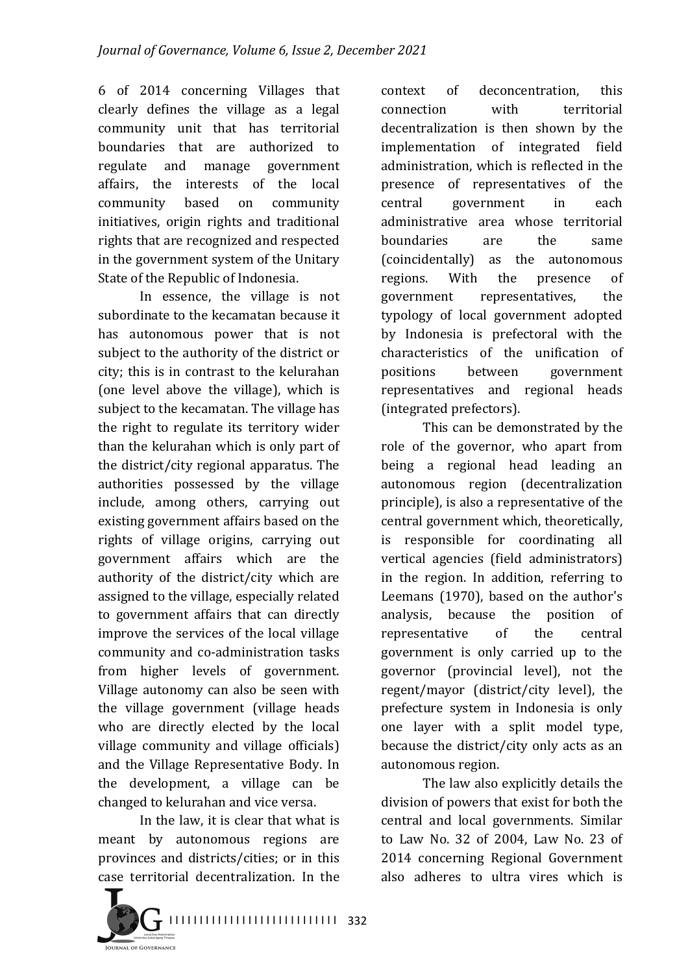6 of 2014 concerning Villages that clearly defines the village as a legal community unit that has territorial boundaries that are authorized to regulate and manage government affairs, the interests of the local community based on community initiatives, origin rights and traditional rights that are recognized and respected in the government system of the Unitary State of the Republic of Indonesia.

In essence, the village is not subordinate to the kecamatan because it has autonomous power that is not subject to the authority of the district or city; this is in contrast to the kelurahan (one level above the village), which is subject to the kecamatan. The village has the right to regulate its territory wider than the kelurahan which is only part of the district/city regional apparatus. The authorities possessed by the village include, among others, carrying out existing government affairs based on the rights of village origins, carrying out government affairs which are the authority of the district/city which are assigned to the village, especially related to government affairs that can directly improve the services of the local village community and co-administration tasks from higher levels of government. Village autonomy can also be seen with the village government (village heads who are directly elected by the local village community and village officials) and the Village Representative Body. In the development, a village can be changed to kelurahan and vice versa.

In the law, it is clear that what is meant by autonomous regions are provinces and districts/cities; or in this case territorial decentralization. In the 



context of deconcentration, this connection with territorial decentralization is then shown by the implementation of integrated field administration, which is reflected in the presence of representatives of the central government in each administrative area whose territorial boundaries are the same (coincidentally) as the autonomous regions. With the presence of government representatives, the typology of local government adopted by Indonesia is prefectoral with the characteristics of the unification of positions between government representatives and regional heads (integrated prefectors).

This can be demonstrated by the role of the governor, who apart from being a regional head leading an autonomous region (decentralization principle), is also a representative of the central government which, theoretically, is responsible for coordinating all vertical agencies (field administrators) in the region. In addition, referring to Leemans  $(1970)$ , based on the author's analysis, because the position of representative of the central government is only carried up to the governor (provincial level), not the regent/mayor (district/city level), the prefecture system in Indonesia is only one layer with a split model type. because the district/city only acts as an autonomous region.

The law also explicitly details the division of powers that exist for both the central and local governments. Similar to Law No. 32 of 2004, Law No. 23 of 2014 concerning Regional Government also adheres to ultra vires which is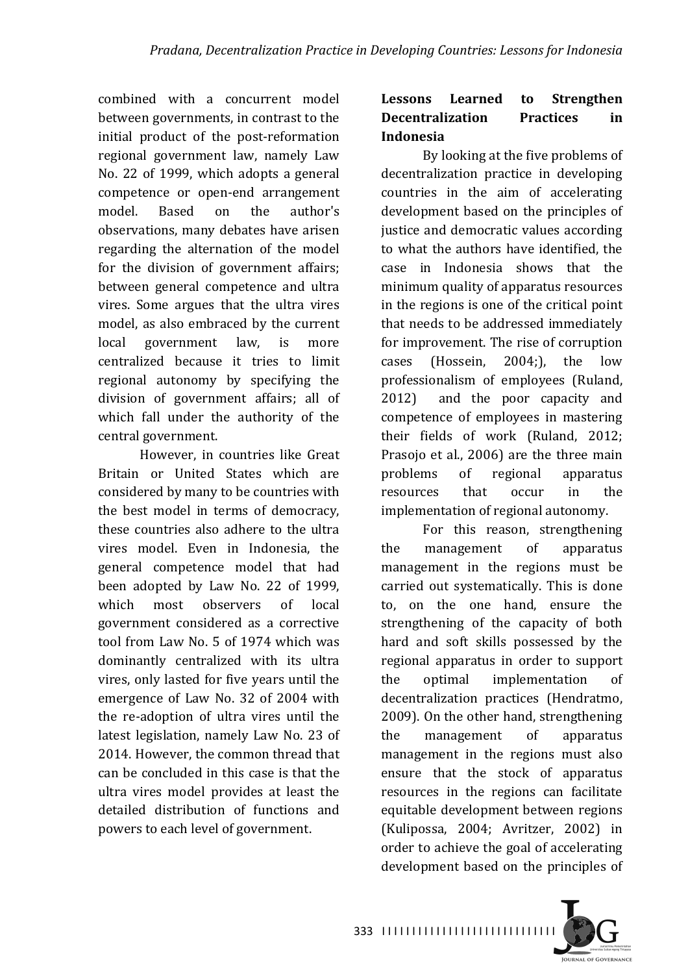combined with a concurrent model between governments, in contrast to the initial product of the post-reformation regional government law, namely Law No. 22 of 1999, which adopts a general competence or open-end arrangement model. Based on the author's observations, many debates have arisen regarding the alternation of the model for the division of government affairs; between general competence and ultra vires. Some argues that the ultra vires model, as also embraced by the current local government law, is more centralized because it tries to limit regional autonomy by specifying the division of government affairs; all of which fall under the authority of the central government.

However, in countries like Great Britain or United States which are considered by many to be countries with the best model in terms of democracy, these countries also adhere to the ultra vires model. Even in Indonesia, the general competence model that had been adopted by Law No. 22 of 1999, which most observers of local government considered as a corrective tool from Law No. 5 of 1974 which was dominantly centralized with its ultra vires, only lasted for five years until the emergence of Law No. 32 of 2004 with the re-adoption of ultra vires until the latest legislation, namely Law No. 23 of 2014. However, the common thread that can be concluded in this case is that the ultra vires model provides at least the detailed distribution of functions and powers to each level of government.

## Lessons Learned to Strengthen **Decentralization Practices** in **Indonesia**

By looking at the five problems of decentralization practice in developing countries in the aim of accelerating development based on the principles of justice and democratic values according to what the authors have identified, the case in Indonesia shows that the minimum quality of apparatus resources in the regions is one of the critical point that needs to be addressed immediately for improvement. The rise of corruption cases (Hossein,  $2004$ ;), the low professionalism of employees (Ruland, 2012) and the poor capacity and competence of employees in mastering their fields of work (Ruland, 2012; Prasojo et al., 2006) are the three main problems of regional apparatus resources that occur in the implementation of regional autonomy.

For this reason, strengthening the management of apparatus management in the regions must be carried out systematically. This is done to, on the one hand, ensure the strengthening of the capacity of both hard and soft skills possessed by the regional apparatus in order to support the optimal implementation of decentralization practices (Hendratmo, 2009). On the other hand, strengthening the management of apparatus management in the regions must also ensure that the stock of apparatus resources in the regions can facilitate equitable development between regions (Kulipossa, 2004; Avritzer, 2002) in order to achieve the goal of accelerating development based on the principles of

I I I I I I I I I I I I I I I I I I I I I I I I I I I I I 333

**OURNAL OF GOVERNANCE**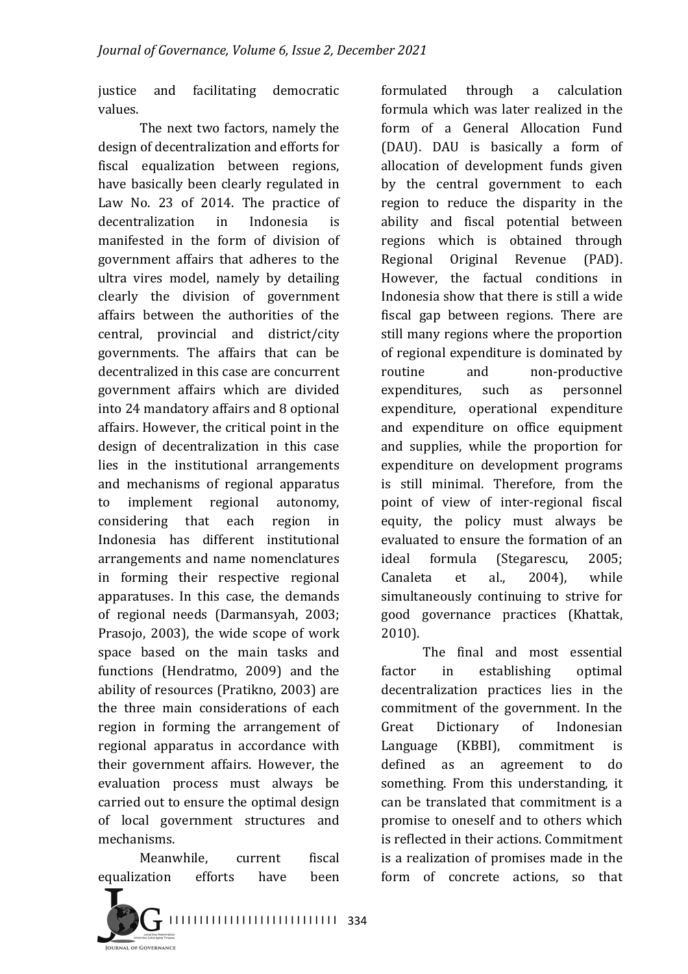justice and facilitating democratic values.

The next two factors, namely the design of decentralization and efforts for fiscal equalization between regions, have basically been clearly regulated in Law No. 23 of 2014. The practice of decentralization in Indonesia is manifested in the form of division of government affairs that adheres to the ultra vires model, namely by detailing clearly the division of government affairs between the authorities of the central, provincial and district/city governments. The affairs that can be decentralized in this case are concurrent government affairs which are divided into 24 mandatory affairs and 8 optional affairs. However, the critical point in the design of decentralization in this case lies in the institutional arrangements and mechanisms of regional apparatus to implement regional autonomy, considering that each region in Indonesia has different institutional arrangements and name nomenclatures in forming their respective regional apparatuses. In this case, the demands of regional needs (Darmansyah, 2003; Prasojo, 2003), the wide scope of work space based on the main tasks and functions (Hendratmo, 2009) and the ability of resources (Pratikno, 2003) are the three main considerations of each region in forming the arrangement of regional apparatus in accordance with their government affairs. However, the evaluation process must always be carried out to ensure the optimal design of local government structures and mechanisms.

Meanwhile, current fiscal equalization efforts have been



formulated through a calculation formula which was later realized in the form of a General Allocation Fund (DAU). DAU is basically a form of allocation of development funds given by the central government to each region to reduce the disparity in the ability and fiscal potential between regions which is obtained through Regional Original Revenue (PAD). However, the factual conditions in Indonesia show that there is still a wide fiscal gap between regions. There are still many regions where the proportion of regional expenditure is dominated by routine and non-productive expenditures, such as personnel expenditure, operational expenditure and expenditure on office equipment and supplies, while the proportion for expenditure on development programs is still minimal. Therefore, from the point of view of inter-regional fiscal equity, the policy must always be evaluated to ensure the formation of an ideal formula (Stegarescu, 2005; Canaleta et al., 2004), while simultaneously continuing to strive for good governance practices (Khattak, 2010).

The final and most essential factor in establishing optimal decentralization practices lies in the commitment of the government. In the Great Dictionary of Indonesian Language (KBBI), commitment is defined as an agreement to do something. From this understanding, it can be translated that commitment is a promise to oneself and to others which is reflected in their actions. Commitment is a realization of promises made in the form of concrete actions, so that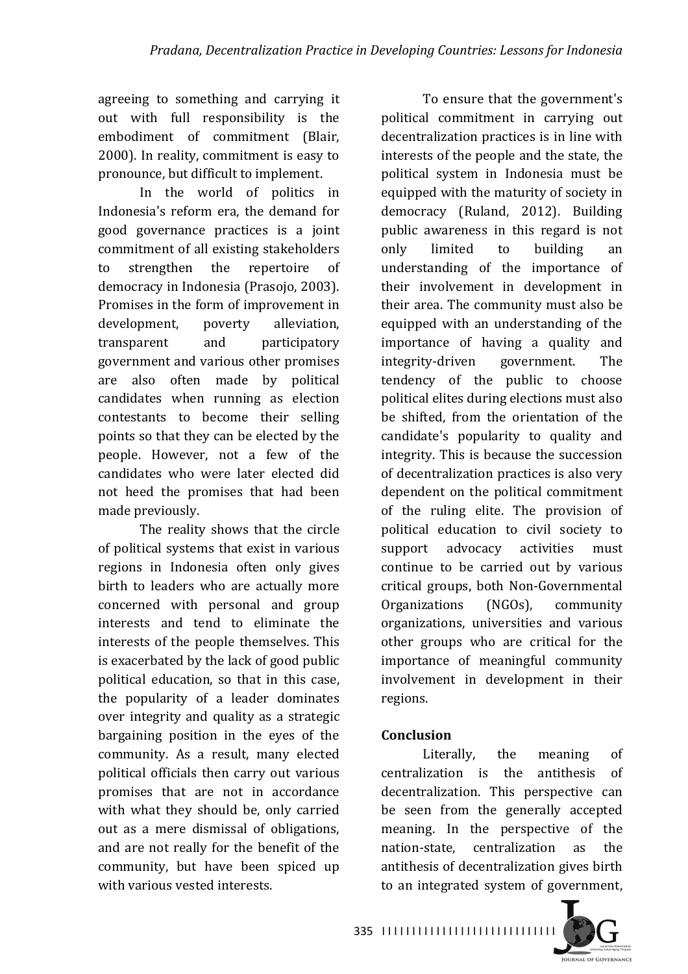agreeing to something and carrying it out with full responsibility is the embodiment of commitment (Blair, 2000). In reality, commitment is easy to pronounce, but difficult to implement.

In the world of politics in Indonesia's reform era, the demand for good governance practices is a joint commitment of all existing stakeholders to strengthen the repertoire of democracy in Indonesia (Prasojo, 2003). Promises in the form of improvement in development, poverty alleviation, transparent and participatory government and various other promises are also often made by political candidates when running as election contestants to become their selling points so that they can be elected by the people. However, not a few of the candidates who were later elected did not heed the promises that had been made previously.

The reality shows that the circle of political systems that exist in various regions in Indonesia often only gives birth to leaders who are actually more concerned with personal and group interests and tend to eliminate the interests of the people themselves. This is exacerbated by the lack of good public political education, so that in this case, the popularity of a leader dominates over integrity and quality as a strategic bargaining position in the eyes of the community. As a result, many elected political officials then carry out various promises that are not in accordance with what they should be, only carried out as a mere dismissal of obligations, and are not really for the benefit of the community, but have been spiced up with various vested interests.

To ensure that the government's political commitment in carrying out decentralization practices is in line with interests of the people and the state, the political system in Indonesia must be equipped with the maturity of society in democracy (Ruland, 2012). Building public awareness in this regard is not only limited to building an understanding of the importance of their involvement in development in their area. The community must also be equipped with an understanding of the importance of having a quality and integrity-driven government. The tendency of the public to choose political elites during elections must also be shifted, from the orientation of the candidate's popularity to quality and integrity. This is because the succession of decentralization practices is also very dependent on the political commitment of the ruling elite. The provision of political education to civil society to support advocacy activities must continue to be carried out by various critical groups, both Non-Governmental Organizations (NGOs), community organizations, universities and various other groups who are critical for the importance of meaningful community involvement in development in their regions.

## **Conclusion**

Literally, the meaning of centralization is the antithesis of decentralization. This perspective can be seen from the generally accepted meaning. In the perspective of the nation-state, centralization as the antithesis of decentralization gives birth to an integrated system of government,

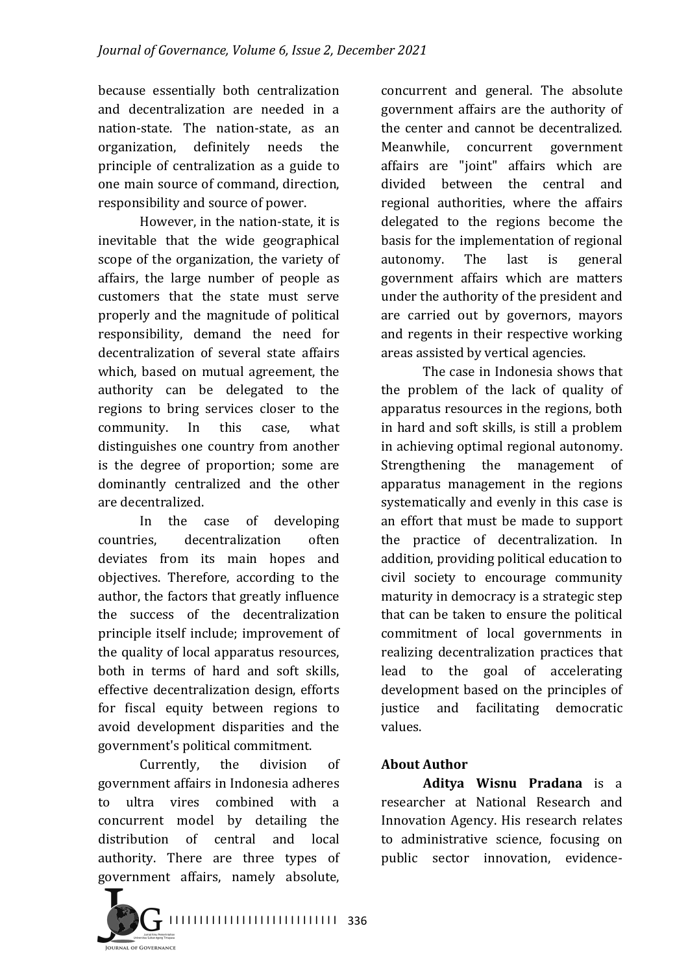because essentially both centralization and decentralization are needed in a nation-state. The nation-state, as an organization, definitely needs the principle of centralization as a guide to one main source of command, direction, responsibility and source of power.

However, in the nation-state, it is inevitable that the wide geographical scope of the organization, the variety of affairs, the large number of people as customers that the state must serve properly and the magnitude of political responsibility, demand the need for decentralization of several state affairs which, based on mutual agreement, the authority can be delegated to the regions to bring services closer to the community. In this case, what distinguishes one country from another is the degree of proportion; some are dominantly centralized and the other are decentralized.

In the case of developing countries, decentralization often deviates from its main hopes and objectives. Therefore, according to the author, the factors that greatly influence the success of the decentralization principle itself include; improvement of the quality of local apparatus resources. both in terms of hard and soft skills, effective decentralization design, efforts for fiscal equity between regions to avoid development disparities and the government's political commitment.

Currently, the division of government affairs in Indonesia adheres to ultra vires combined with a concurrent model by detailing the distribution of central and local authority. There are three types of government affairs, namely absolute,  concurrent and general. The absolute government affairs are the authority of the center and cannot be decentralized. Meanwhile, concurrent government affairs are "joint" affairs which are divided between the central and regional authorities, where the affairs delegated to the regions become the basis for the implementation of regional autonomy. The last is general government affairs which are matters under the authority of the president and are carried out by governors, mayors and regents in their respective working areas assisted by vertical agencies.

The case in Indonesia shows that the problem of the lack of quality of apparatus resources in the regions, both in hard and soft skills, is still a problem in achieving optimal regional autonomy. Strengthening the management of apparatus management in the regions systematically and evenly in this case is an effort that must be made to support the practice of decentralization. In addition, providing political education to civil society to encourage community maturity in democracy is a strategic step that can be taken to ensure the political commitment of local governments in realizing decentralization practices that lead to the goal of accelerating development based on the principles of justice and facilitating democratic values.

#### **About Author**

**Aditya Wisnu Pradana** is a researcher at National Research and Innovation Agency. His research relates to administrative science, focusing on public sector innovation, evidence-



I I I I I I I I I I I I I I I I I I I I I I I I I I I I 336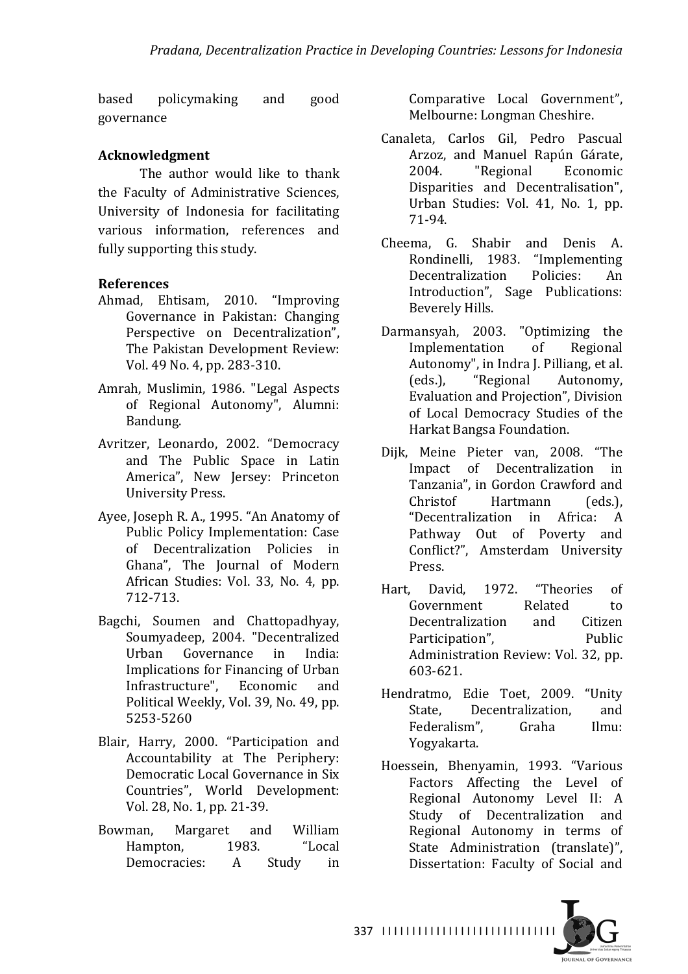based policymaking and good governance

#### **Acknowledgment**

The author would like to thank the Faculty of Administrative Sciences, University of Indonesia for facilitating various information, references and fully supporting this study.

#### **References**

- Ahmad, Ehtisam, 2010. "Improving Governance in Pakistan: Changing Perspective on Decentralization", The Pakistan Development Review: Vol. 49 No. 4, pp. 283-310.
- Amrah, Muslimin, 1986. "Legal Aspects of Regional Autonomy", Alumni: Bandung.
- Avritzer, Leonardo, 2002. "Democracy and The Public Space in Latin America", New Jersey: Princeton University Press.
- Ayee, Joseph R. A., 1995. "An Anatomy of Public Policy Implementation: Case of Decentralization Policies in Ghana", The Journal of Modern African Studies: Vol. 33, No. 4, pp. 712-713.
- Bagchi, Soumen and Chattopadhyay, Soumyadeep, 2004. "Decentralized Urban Governance in India: Implications for Financing of Urban Infrastructure", Economic and Political Weekly, Vol. 39, No. 49, pp. 5253-5260
- Blair, Harry, 2000. "Participation and Accountability at The Periphery: Democratic Local Governance in Six Countries", World Development: Vol. 28, No. 1, pp. 21-39.
- Bowman, Margaret and William Hampton, 1983. "Local Democracies: A Study in

Comparative Local Government", Melbourne: Longman Cheshire.

- Canaleta, Carlos Gil, Pedro Pascual Arzoz, and Manuel Rapún Gárate, 2004. "Regional Economic Disparities and Decentralisation", Urban Studies: Vol. 41, No. 1, pp. 71-94.
- Cheema, G. Shabir and Denis A. Rondinelli, 1983. "Implementing Decentralization Policies: An Introduction", Sage Publications: Beverely Hills.
- Darmansyah, 2003. "Optimizing the Implementation of Regional Autonomy", in Indra J. Pilliang, et al. (eds.), "Regional Autonomy, Evaluation and Projection", Division of Local Democracy Studies of the Harkat Bangsa Foundation.
- Dijk, Meine Pieter van, 2008. "The Impact of Decentralization in Tanzania", in Gordon Crawford and Christof Hartmann (eds.). "Decentralization in Africa: A Pathway Out of Poverty and Conflict?", Amsterdam University Press.
- Hart, David, 1972. "Theories of Government Related to Decentralization and Citizen Participation", Public Administration Review: Vol. 32, pp. 603-621.
- Hendratmo, Edie Toet, 2009. "Unity State, Decentralization, and Federalism", Graha Ilmu: Yogyakarta.
- Hoessein, Bhenyamin, 1993. "Various Factors Affecting the Level of Regional Autonomy Level II: A Study of Decentralization and Regional Autonomy in terms of State Administration (translate)", Dissertation: Faculty of Social and

337 ||||||||||||||||||||||||||||||

**IQUENAL OF GOVERNANCE**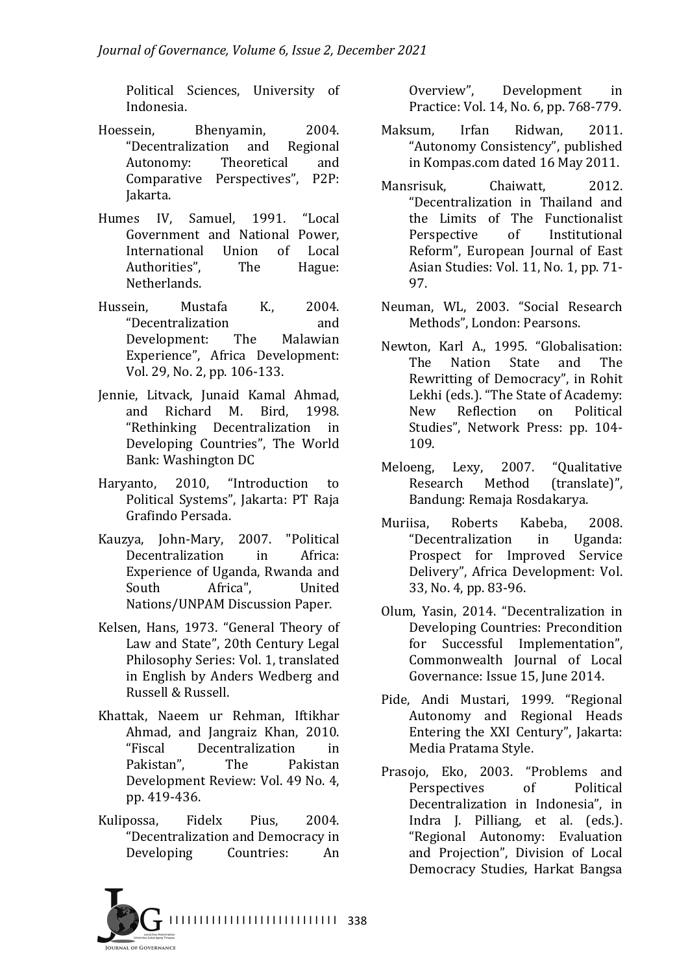Political Sciences, University of Indonesia.

- Hoessein, Bhenyamin, 2004. "Decentralization and Regional Autonomy: Theoretical and Comparative Perspectives", P2P: Jakarta.
- Humes IV, Samuel, 1991. "Local Government and National Power, International Union of Local Authorities", The Hague: Netherlands.
- Hussein, Mustafa K., 2004. "Decentralization and Development: The Malawian Experience", Africa Development: Vol. 29, No. 2, pp. 106-133.
- Jennie, Litvack, Junaid Kamal Ahmad, and Richard M. Bird. 1998. "Rethinking Decentralization in Developing Countries", The World Bank: Washington DC
- Haryanto, 2010, "Introduction to Political Systems", Jakarta: PT Raja Grafindo Persada.
- Kauzya, John-Mary, 2007. "Political Decentralization in Africa: Experience of Uganda, Rwanda and South Africa", United Nations/UNPAM Discussion Paper.
- Kelsen, Hans, 1973. "General Theory of Law and State", 20th Century Legal Philosophy Series: Vol. 1, translated in English by Anders Wedberg and Russell & Russell.
- Khattak, Naeem ur Rehman, Iftikhar Ahmad, and Jangraiz Khan, 2010. "Fiscal Decentralization in Pakistan", The Pakistan Development Review: Vol. 49 No. 4, pp. 419-436.
- Kulipossa, Fidelx Pius, 2004. "Decentralization and Democracy in Developing Countries: An

Overview", Development in Practice: Vol. 14, No. 6, pp. 768-779.

- Maksum, Irfan Ridwan, 2011. "Autonomy Consistency", published in Kompas.com dated 16 May 2011.
- Mansrisuk. Chaiwatt. 2012. "Decentralization in Thailand and the Limits of The Functionalist Perspective of Institutional Reform", European Journal of East Asian Studies: Vol. 11, No. 1, pp. 71-97.
- Neuman, WL, 2003. "Social Research Methods", London: Pearsons.
- Newton, Karl A., 1995. "Globalisation: The Nation State and The Rewritting of Democracy", in Rohit Lekhi (eds.). "The State of Academy: New Reflection on Political Studies", Network Press: pp. 104-109.
- Meloeng, Lexy, 2007. "Qualitative Research Method (translate)", Bandung: Remaja Rosdakarya.
- Muriisa. Roberts Kabeba. 2008. "Decentralization in Uganda: Prospect for Improved Service Delivery", Africa Development: Vol. 33, No. 4, pp. 83-96.
- Olum, Yasin, 2014. "Decentralization in Developing Countries: Precondition for Successful Implementation", Commonwealth Journal of Local Governance: Issue 15, June 2014.
- Pide, Andi Mustari, 1999. "Regional Autonomy and Regional Heads Entering the XXI Century", Jakarta: Media Pratama Style.
- Prasojo, Eko, 2003. "Problems and Perspectives of Political Decentralization in Indonesia", in Indra J. Pilliang, et al. (eds.). "Regional Autonomy: Evaluation and Projection", Division of Local Democracy Studies, Harkat Bangsa